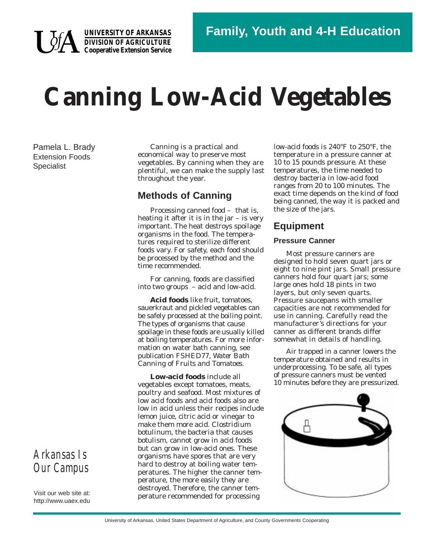

**UNIVERSITY OF ARKANSAS DIVISION OF AGRICULTURE Cooperative Extension Service**

# **Canning Low-Acid Vegetables**

Pamela L. Brady Extension Foods **Specialist** 

Canning is a practical and economical way to preserve most vegetables. By canning when they are plentiful, we can make the supply last throughout the year.

## **Methods of Canning**

Processing canned food – that is, heating it after it is in the jar – is very important. The heat destroys spoilage organisms in the food. The temperatures required to sterilize different foods vary. For safety, each food should be processed by the method and the time recommended.

For canning, foods are classified into two groups – acid and low-acid.

**Acid foods** like fruit, tomatoes, sauerkraut and pickled vegetables can be safely processed at the boiling point. The types of organisms that cause spoilage in these foods are usually killed at boiling temperatures. For more information on water bath canning, see publication FSHED77, *Water Bath Canning of Fruits and Tomatoes*.

**Low-acid foods** include all vegetables except tomatoes, meats, poultry and seafood. Most mixtures of low acid foods and acid foods also are low in acid unless their recipes include lemon juice, citric acid or vinegar to make them more acid. *Clostridium botulinum*, the bacteria that causes botulism, cannot grow in acid foods but can grow in low-acid ones. These organisms have spores that are very hard to destroy at boiling water temperatures. The higher the canner temperature, the more easily they are destroyed. Therefore, the canner temperature recommended for processing

low-acid foods is 240°F to 250°F, the temperature in a pressure canner at 10 to 15 pounds pressure. At these temperatures, the time needed to destroy bacteria in low-acid food ranges from 20 to 100 minutes. The exact time depends on the kind of food being canned, the way it is packed and the size of the jars.

# **Equipment**

#### **Pressure Canner**

Most pressure canners are designed to hold seven quart jars or eight to nine pint jars. Small pressure canners hold four quart jars; some large ones hold 18 pints in two layers, but only seven quarts. Pressure saucepans with smaller capacities are not recommended for use in canning. Carefully read the manufacturer's directions for your canner as different brands differ somewhat in details of handling.

Air trapped in a canner lowers the temperature obtained and results in underprocessing. To be safe, all types of pressure canners must be vented 10 minutes before they are pressurized.



*Arkansas Is Our Campus*

Visit our web site at: http://www.uaex.edu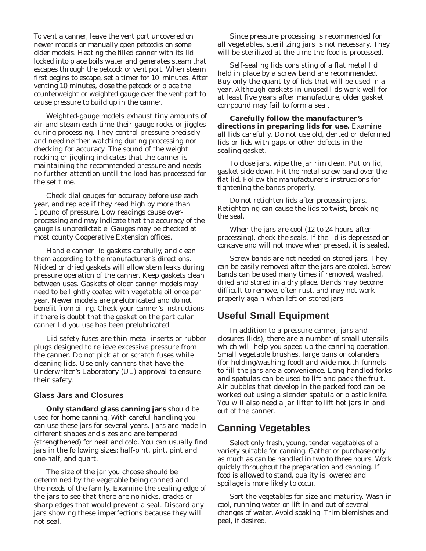To vent a canner, leave the vent port uncovered on newer models or manually open petcocks on some older models. Heating the filled canner with its lid locked into place boils water and generates steam that escapes through the petcock or vent port. When steam first begins to escape, set a timer for 10 minutes. After venting 10 minutes, close the petcock or place the counterweight or weighted gauge over the vent port to cause pressure to build up in the canner.

Weighted-gauge models exhaust tiny amounts of air and steam each time their gauge rocks or jiggles during processing. They control pressure precisely and need neither watching during processing nor checking for accuracy. The sound of the weight rocking or jiggling indicates that the canner is maintaining the recommended pressure and needs no further attention until the load has processed for the set time.

Check dial gauges for accuracy before use each year, and replace if they read high by more than 1 pound of pressure. Low readings cause overprocessing and may indicate that the accuracy of the gauge is unpredictable. Gauges may be checked at most county Cooperative Extension offices.

Handle canner lid gaskets carefully, and clean them according to the manufacturer's directions. Nicked or dried gaskets will allow stem leaks during pressure operation of the canner. Keep gaskets clean between uses. Gaskets of older canner models may need to be lightly coated with vegetable oil once per year. Newer models are prelubricated and do not benefit from oiling. Check your canner's instructions if there is doubt that the gasket on the particular canner lid you use has been prelubricated.

Lid safety fuses are thin metal inserts or rubber plugs designed to relieve excessive pressure from the canner. Do not pick at or scratch fuses while cleaning lids. Use only canners that have the Underwriter's Laboratory (UL) approval to ensure their safety.

#### **Glass Jars and Closures**

**Only standard glass canning jars** should be used for home canning. With careful handling you can use these jars for several years. Jars are made in different shapes and sizes and are tempered (strengthened) for heat and cold. You can usually find jars in the following sizes: half-pint, pint, pint and one-half, and quart.

The size of the jar you choose should be determined by the vegetable being canned and the needs of the family. Examine the sealing edge of the jars to see that there are no nicks, cracks or sharp edges that would prevent a seal. Discard any jars showing these imperfections because they will not seal.

Since pressure processing is recommended for all vegetables, sterilizing jars is not necessary. They will be sterilized at the time the food is processed.

Self-sealing lids consisting of a flat metal lid held in place by a screw band are recommended. Buy only the quantity of lids that will be used in a year. Although gaskets in unused lids work well for at least five years after manufacture, older gasket compound may fail to form a seal.

**Carefully follow the manufacturer's directions in preparing lids for use.** Examine all lids carefully. Do not use old, dented or deformed lids or lids with gaps or other defects in the sealing gasket.

To close jars, wipe the jar rim clean. Put on lid, gasket side down. Fit the metal screw band over the flat lid. Follow the manufacturer's instructions for tightening the bands properly.

Do not retighten lids after processing jars. Retightening can cause the lids to twist, breaking the seal.

When the jars are cool (12 to 24 hours after processing), check the seals. If the lid is depressed or concave and will not move when pressed, it is sealed.

Screw bands are not needed on stored jars. They can be easily removed after the jars are cooled. Screw bands can be used many times if removed, washed, dried and stored in a dry place. Bands may become difficult to remove, often rust, and may not work properly again when left on stored jars.

#### **Useful Small Equipment**

In addition to a pressure canner, jars and closures (lids), there are a number of small utensils which will help you speed up the canning operation. Small vegetable brushes, large pans or colanders (for holding/washing food) and wide-mouth funnels to fill the jars are a convenience. Long-handled forks and spatulas can be used to lift and pack the fruit. Air bubbles that develop in the packed food can be worked out using a slender spatula or plastic knife. You will also need a jar lifter to lift hot jars in and out of the canner.

### **Canning Vegetables**

Select only fresh, young, tender vegetables of a variety suitable for canning. Gather or purchase only as much as can be handled in two to three hours. Work quickly throughout the preparation and canning. If food is allowed to stand, quality is lowered and spoilage is more likely to occur.

Sort the vegetables for size and maturity. Wash in cool, running water or lift in and out of several changes of water. Avoid soaking. Trim blemishes and peel, if desired.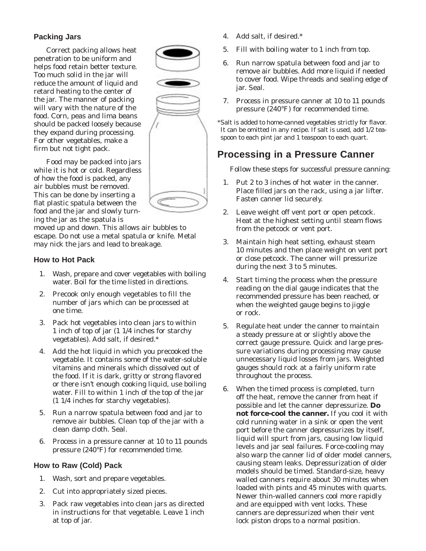#### **Packing Jars**

Correct packing allows heat penetration to be uniform and helps food retain better texture. Too much solid in the jar will reduce the amount of liquid and retard heating to the center of the jar. The manner of packing will vary with the nature of the food. Corn, peas and lima beans should be packed loosely because they expand during processing. For other vegetables, make a firm but not tight pack.

Food may be packed into jars while it is hot or cold. Regardless of how the food is packed, any air bubbles must be removed. This can be done by inserting a flat plastic spatula between the food and the jar and slowly turning the jar as the spatula is

moved up and down. This allows air bubbles to escape. Do not use a metal spatula or knife. Metal may nick the jars and lead to breakage.

#### **How to Hot Pack**

- 1. Wash, prepare and cover vegetables with boiling water. Boil for the time listed in directions.
- 2. Precook only enough vegetables to fill the number of jars which can be processed at one time.
- 3. Pack hot vegetables into clean jars to within 1 inch of top of jar (1 1/4 inches for starchy vegetables). Add salt, if desired.\*
- 4. Add the hot liquid in which you precooked the vegetable. It contains some of the water-soluble vitamins and minerals which dissolved out of the food. If it is dark, gritty or strong flavored or there isn't enough cooking liquid, use boiling water. Fill to within 1 inch of the top of the jar (1 1/4 inches for starchy vegetables).
- 5. Run a narrow spatula between food and jar to remove air bubbles. Clean top of the jar with a clean damp cloth. Seal.
- 6. Process in a pressure canner at 10 to 11 pounds pressure (240°F) for recommended time.

#### **How to Raw (Cold) Pack**

- 1. Wash, sort and prepare vegetables.
- 2. Cut into appropriately sized pieces.
- 3. Pack raw vegetables into clean jars as directed in instructions for that vegetable. Leave 1 inch at top of jar.
- 4. Add salt, if desired.\*
- 5. Fill with boiling water to 1 inch from top.
- 6. Run narrow spatula between food and jar to remove air bubbles. Add more liquid if needed to cover food. Wipe threads and sealing edge of jar. Seal.
- 7. Process in pressure canner at 10 to 11 pounds pressure (240°F) for recommended time.

\*Salt is added to home-canned vegetables strictly for flavor. It can be omitted in any recipe. If salt is used, add 1/2 teaspoon to each pint jar and 1 teaspoon to each quart.

# **Processing in a Pressure Canner**

Follow these steps for successful pressure canning:

- 1. Put 2 to 3 inches of hot water in the canner. Place filled jars on the rack, using a jar lifter. Fasten canner lid securely.
- 2. Leave weight off vent port or open petcock. Heat at the highest setting until steam flows from the petcock or vent port.
- 3. Maintain high heat setting, exhaust steam 10 minutes and then place weight on vent port or close petcock. The canner will pressurize during the next 3 to 5 minutes.
- 4. Start timing the process when the pressure reading on the dial gauge indicates that the recommended pressure has been reached, or when the weighted gauge begins to jiggle or rock.
- 5. Regulate heat under the canner to maintain a steady pressure at or slightly above the correct gauge pressure. Quick and large pressure variations during processing may cause unnecessary liquid losses from jars. Weighted gauges should rock at a fairly uniform rate throughout the process.
- 6. When the timed process is completed, turn off the heat, remove the canner from heat if possible and let the canner depressurize. **Do not force-cool the canner.** If you cool it with cold running water in a sink or open the vent port before the canner depressurizes by itself, liquid will spurt from jars, causing low liquid levels and jar seal failures. Force-cooling may also warp the canner lid of older model canners, causing steam leaks. Depressurization of older models should be timed. Standard-size, heavy walled canners require about 30 minutes when loaded with pints and 45 minutes with quarts. Newer thin-walled canners cool more rapidly and are equipped with vent locks. These canners are depressurized when their vent lock piston drops to a normal position.

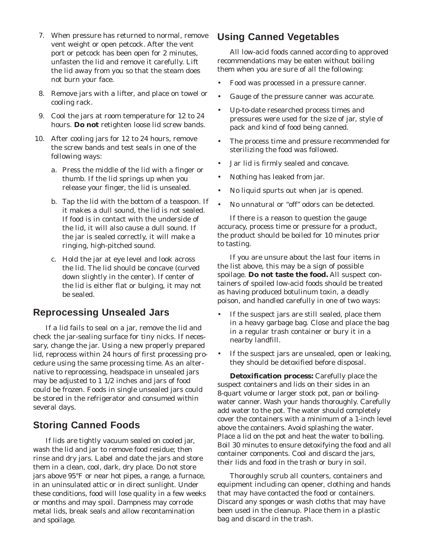- 7. When pressure has returned to normal, remove vent weight or open petcock. After the vent port or petcock has been open for 2 minutes, unfasten the lid and remove it carefully. Lift the lid away from you so that the steam does not burn your face.
- 8. Remove jars with a lifter, and place on towel or cooling rack.
- 9. Cool the jars at room temperature for 12 to 24 hours. **Do not** retighten loose lid screw bands.
- 10. After cooling jars for 12 to 24 hours, remove the screw bands and test seals in one of the following ways:
	- a. Press the middle of the lid with a finger or thumb. If the lid springs up when you release your finger, the lid is unsealed.
	- b. Tap the lid with the bottom of a teaspoon. If it makes a dull sound, the lid is not sealed. If food is in contact with the underside of the lid, it will also cause a dull sound. If the jar is sealed correctly, it will make a ringing, high-pitched sound.
	- c. Hold the jar at eye level and look across the lid. The lid should be concave (curved down slightly in the center). If center of the lid is either flat or bulging, it may not be sealed.

## **Reprocessing Unsealed Jars**

If a lid fails to seal on a jar, remove the lid and check the jar-sealing surface for tiny nicks. If necessary, change the jar. Using a new properly prepared lid, reprocess within 24 hours of first processing procedure using the same processing time. As an alternative to reprocessing, headspace in unsealed jars may be adjusted to 1 1/2 inches and jars of food could be frozen. Foods in single unsealed jars could be stored in the refrigerator and consumed within several days.

## **Storing Canned Foods**

If lids are tightly vacuum sealed on cooled jar, wash the lid and jar to remove food residue; then rinse and dry jars. Label and date the jars and store them in a clean, cool, dark, dry place. Do not store jars above 95°F or near hot pipes, a range, a furnace, in an uninsulated attic or in direct sunlight. Under these conditions, food will lose quality in a few weeks or months and may spoil. Dampness may corrode metal lids, break seals and allow recontamination and spoilage.

## **Using Canned Vegetables**

All low-acid foods canned according to approved recommendations may be eaten without boiling them when you are sure of all the following:

- Food was processed in a pressure canner.
- Gauge of the pressure canner was accurate.
- Up-to-date researched process times and pressures were used for the size of jar, style of pack and kind of food being canned.
- The process time and pressure recommended for sterilizing the food was followed.
- Jar lid is firmly sealed and concave.
- Nothing has leaked from jar.
- No liquid spurts out when jar is opened.
- No unnatural or "off" odors can be detected.

If there is a reason to question the gauge accuracy, process time or pressure for a product, the product should be boiled for 10 minutes prior to tasting.

If you are unsure about the last four items in the list above, this may be a sign of possible spoilage. **Do not taste the food.** All suspect containers of spoiled low-acid foods should be treated as having produced botulinum toxin, a deadly poison, and handled carefully in one of two ways:

- If the suspect jars are still sealed, place them in a heavy garbage bag. Close and place the bag in a regular trash container or bury it in a nearby landfill.
- If the suspect jars are unsealed, open or leaking, they should be detoxified before disposal.

**Detoxification process:** Carefully place the suspect containers and lids on their sides in an 8-quart volume or larger stock pot, pan or boilingwater canner. Wash your hands thoroughly. Carefully add water to the pot. The water should completely cover the containers with a minimum of a 1-inch level above the containers. Avoid splashing the water. Place a lid on the pot and heat the water to boiling. Boil 30 minutes to ensure detoxifying the food and all container components. Cool and discard the jars, their lids and food in the trash or bury in soil.

Thoroughly scrub all counters, containers and equipment including can opener, clothing and hands that may have contacted the food or containers. Discard any sponges or wash cloths that may have been used in the cleanup. Place them in a plastic bag and discard in the trash.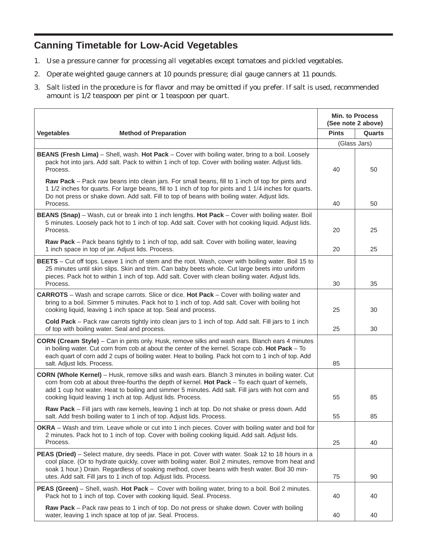# **Canning Timetable for Low-Acid Vegetables**

- 1. Use a pressure canner for processing all vegetables except tomatoes and pickled vegetables.
- 2. Operate weighted gauge canners at 10 pounds pressure; dial gauge canners at 11 pounds.
- 3. Salt listed in the procedure is for flavor and may be omitted if you prefer. If salt is used, recommended amount is 1/2 teaspoon per pint or 1 teaspoon per quart.

|                                                                                                                                                                                                                                                                                                                                                                               | <b>Min. to Process</b><br>(See note 2 above) |        |
|-------------------------------------------------------------------------------------------------------------------------------------------------------------------------------------------------------------------------------------------------------------------------------------------------------------------------------------------------------------------------------|----------------------------------------------|--------|
| <b>Vegetables</b><br><b>Method of Preparation</b>                                                                                                                                                                                                                                                                                                                             | <b>Pints</b>                                 | Quarts |
|                                                                                                                                                                                                                                                                                                                                                                               | (Glass Jars)                                 |        |
| <b>BEANS (Fresh Lima)</b> – Shell, wash. Hot Pack – Cover with boiling water, bring to a boil. Loosely<br>pack hot into jars. Add salt. Pack to within 1 inch of top. Cover with boiling water. Adjust lids.<br>Process.                                                                                                                                                      | 40                                           | 50     |
| Raw Pack - Pack raw beans into clean jars. For small beans, fill to 1 inch of top for pints and<br>1 1/2 inches for quarts. For large beans, fill to 1 inch of top for pints and 1 1/4 inches for quarts.<br>Do not press or shake down. Add salt. Fill to top of beans with boiling water. Adjust lids.<br>Process.                                                          | 40                                           | 50     |
| BEANS (Snap) - Wash, cut or break into 1 inch lengths. Hot Pack - Cover with boiling water. Boil<br>5 minutes. Loosely pack hot to 1 inch of top. Add salt. Cover with hot cooking liquid. Adjust lids.<br>Process.                                                                                                                                                           | 20                                           | 25     |
| Raw Pack - Pack beans tightly to 1 inch of top, add salt. Cover with boiling water, leaving<br>1 inch space in top of jar. Adjust lids. Process.                                                                                                                                                                                                                              | 20                                           | 25     |
| BEETS - Cut off tops. Leave 1 inch of stem and the root. Wash, cover with boiling water. Boil 15 to<br>25 minutes until skin slips. Skin and trim. Can baby beets whole. Cut large beets into uniform<br>pieces. Pack hot to within 1 inch of top. Add salt. Cover with clean boiling water. Adjust lids.<br>Process.                                                         | 30                                           | 35     |
| <b>CARROTS</b> - Wash and scrape carrots. Slice or dice. Hot Pack - Cover with boiling water and<br>bring to a boil. Simmer 5 minutes. Pack hot to 1 inch of top. Add salt. Cover with boiling hot<br>cooking liquid, leaving 1 inch space at top. Seal and process.                                                                                                          | 25                                           | 30     |
| Cold Pack - Pack raw carrots tightly into clean jars to 1 inch of top. Add salt. Fill jars to 1 inch<br>of top with boiling water. Seal and process.                                                                                                                                                                                                                          | 25                                           | 30     |
| CORN (Cream Style) - Can in pints only. Husk, remove silks and wash ears. Blanch ears 4 minutes<br>in boiling water. Cut corn from cob at about the center of the kernel. Scrape cob. Hot Pack - To<br>each quart of corn add 2 cups of boiling water. Heat to boiling. Pack hot corn to 1 inch of top. Add<br>salt. Adjust lids. Process.                                    | 85                                           |        |
| CORN (Whole Kernel) - Husk, remove silks and wash ears. Blanch 3 minutes in boiling water. Cut<br>corn from cob at about three-fourths the depth of kernel. Hot Pack - To each quart of kernels,<br>add 1 cup hot water. Heat to boiling and simmer 5 minutes. Add salt. Fill jars with hot corn and<br>cooking liquid leaving 1 inch at top. Adjust lids. Process.           | 55                                           | 85     |
| Raw Pack - Fill jars with raw kernels, leaving 1 inch at top. Do not shake or press down. Add<br>salt. Add fresh boiling water to 1 inch of top. Adjust lids. Process.                                                                                                                                                                                                        | 55                                           | 85     |
| OKRA - Wash and trim. Leave whole or cut into 1 inch pieces. Cover with boiling water and boil for<br>2 minutes. Pack hot to 1 inch of top. Cover with boiling cooking liquid. Add salt. Adjust lids.<br>Process.                                                                                                                                                             | 25                                           | 40     |
| PEAS (Dried) - Select mature, dry seeds. Place in pot. Cover with water. Soak 12 to 18 hours in a<br>cool place. (Or to hydrate quickly, cover with boiling water. Boil 2 minutes, remove from heat and<br>soak 1 hour.) Drain. Regardless of soaking method, cover beans with fresh water. Boil 30 min-<br>utes. Add salt. Fill jars to 1 inch of top. Adjust lids. Process. | 75                                           | 90     |
| PEAS (Green) - Shell, wash. Hot Pack - Cover with boiling water, bring to a boil. Boil 2 minutes.<br>Pack hot to 1 inch of top. Cover with cooking liquid. Seal. Process.                                                                                                                                                                                                     | 40                                           | 40     |
| Raw Pack - Pack raw peas to 1 inch of top. Do not press or shake down. Cover with boiling<br>water, leaving 1 inch space at top of jar. Seal. Process.                                                                                                                                                                                                                        | 40                                           | 40     |